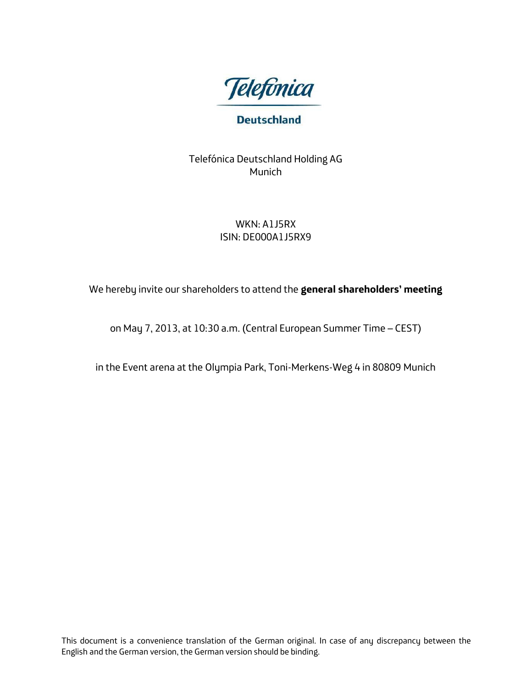

# **Deutschland**

Telefónica Deutschland Holding AG Munich

# WKN: A1J5RX ISIN: DE000A1J5RX9

We hereby invite our shareholders to attend the **general shareholders' meeting**

on May 7, 2013, at 10:30 a.m. (Central European Summer Time – CEST)

in the Event arena at the Olympia Park, Toni-Merkens-Weg 4 in 80809 Munich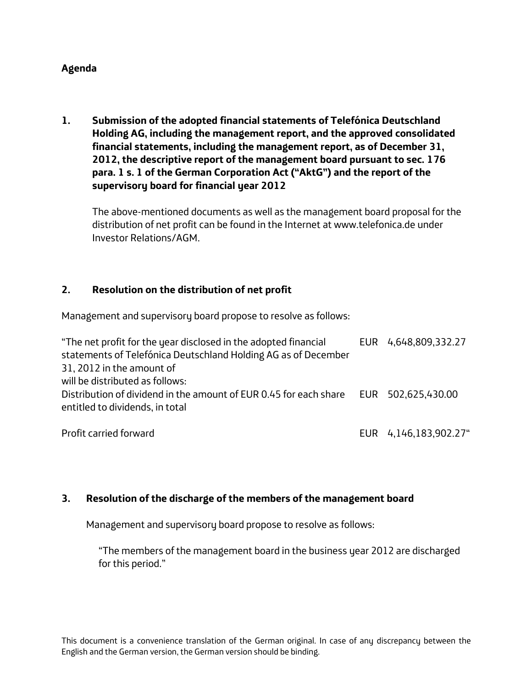## **Agenda**

**1. Submission of the adopted financial statements of Telefónica Deutschland Holding AG, including the management report, and the approved consolidated financial statements, including the management report, as of December 31, 2012, the descriptive report of the management board pursuant to sec. 176 para. 1 s. 1 of the German Corporation Act ("AktG") and the report of the supervisory board for financial year 2012**

The above-mentioned documents as well as the management board proposal for the distribution of net profit can be found in the Internet at www.telefonica.de under Investor Relations/AGM.

#### **2. Resolution on the distribution of net profit**

Management and supervisory board propose to resolve as follows:

| "The net profit for the year disclosed in the adopted financial<br>statements of Telefónica Deutschland Holding AG as of December<br>31, 2012 in the amount of | EUR 4,648,809,332.27  |
|----------------------------------------------------------------------------------------------------------------------------------------------------------------|-----------------------|
| will be distributed as follows:<br>Distribution of dividend in the amount of EUR 0.45 for each share EUR 502,625,430.00<br>entitled to dividends, in total     |                       |
| Profit carried forward                                                                                                                                         | EUR 4,146,183,902.27" |

#### **3. Resolution of the discharge of the members of the management board**

Management and supervisory board propose to resolve as follows:

"The members of the management board in the business year 2012 are discharged for this period."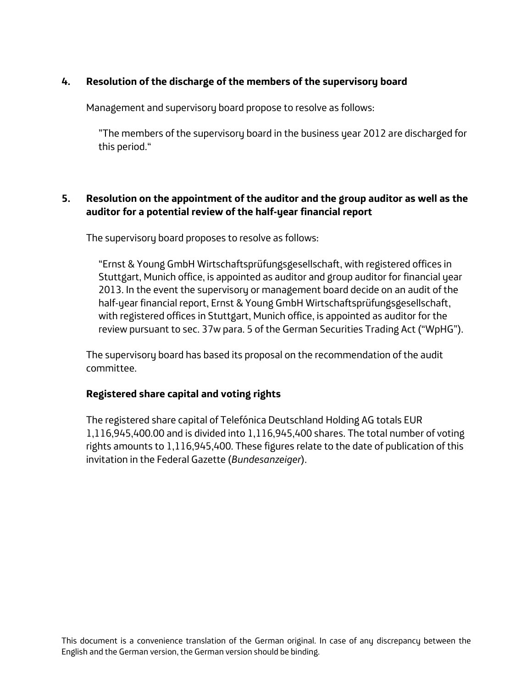# **4. Resolution of the discharge of the members of the supervisory board**

Management and supervisory board propose to resolve as follows:

"The members of the supervisory board in the business year 2012 are discharged for this period."

## **5. Resolution on the appointment of the auditor and the group auditor as well as the auditor for a potential review of the half-year financial report**

The supervisory board proposes to resolve as follows:

"Ernst & Young GmbH Wirtschaftsprüfungsgesellschaft, with registered offices in Stuttgart, Munich office, is appointed as auditor and group auditor for financial year 2013. In the event the supervisory or management board decide on an audit of the half-year financial report, Ernst & Young GmbH Wirtschaftsprüfungsgesellschaft, with registered offices in Stuttgart, Munich office, is appointed as auditor for the review pursuant to sec. 37w para. 5 of the German Securities Trading Act ("WpHG").

The supervisory board has based its proposal on the recommendation of the audit committee.

#### **Registered share capital and voting rights**

The registered share capital of Telefónica Deutschland Holding AG totals EUR 1,116,945,400.00 and is divided into 1,116,945,400 shares. The total number of voting rights amounts to 1,116,945,400. These figures relate to the date of publication of this invitation in the Federal Gazette (*Bundesanzeiger*).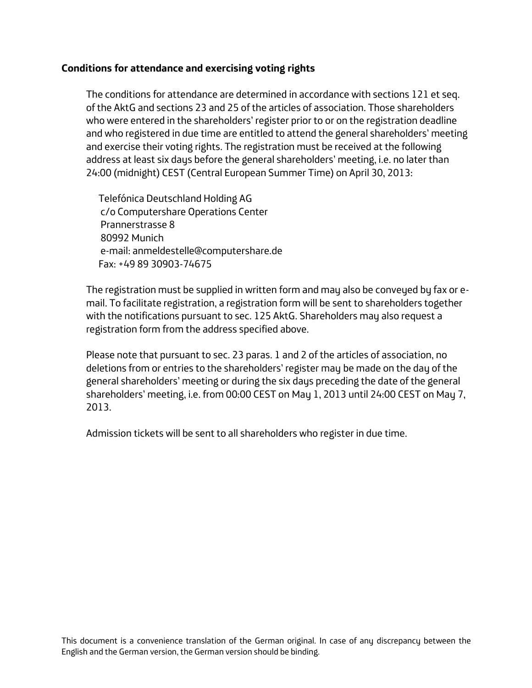## **Conditions for attendance and exercising voting rights**

The conditions for attendance are determined in accordance with sections 121 et seq. of the AktG and sections 23 and 25 of the articles of association. Those shareholders who were entered in the shareholders' register prior to or on the registration deadline and who registered in due time are entitled to attend the general shareholders' meeting and exercise their voting rights. The registration must be received at the following address at least six days before the general shareholders' meeting, i.e. no later than 24:00 (midnight) CEST (Central European Summer Time) on April 30, 2013:

Telefónica Deutschland Holding AG c/o Computershare Operations Center Prannerstrasse 8 80992 Munich e-mail: anmeldestelle@computershare.de Fax: +49 89 30903-74675

The registration must be supplied in written form and may also be conveyed by fax or email. To facilitate registration, a registration form will be sent to shareholders together with the notifications pursuant to sec. 125 AktG. Shareholders may also request a registration form from the address specified above.

Please note that pursuant to sec. 23 paras. 1 and 2 of the articles of association, no deletions from or entries to the shareholders' register may be made on the day of the general shareholders' meeting or during the six days preceding the date of the general shareholders' meeting, i.e. from 00:00 CEST on May 1, 2013 until 24:00 CEST on May 7, 2013.

Admission tickets will be sent to all shareholders who register in due time.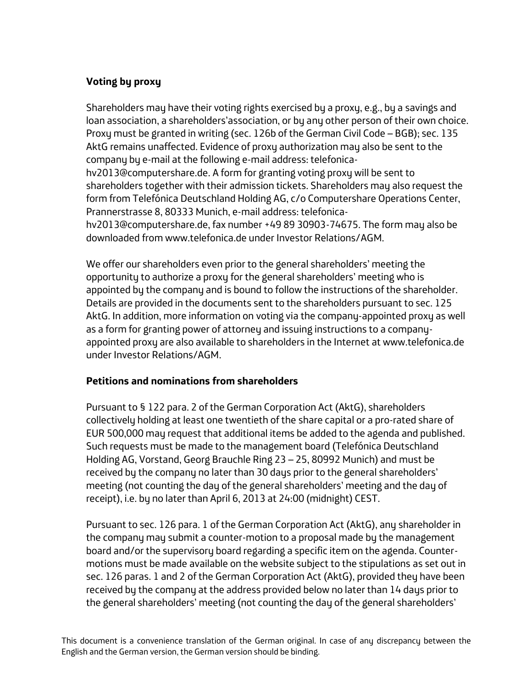# **Voting by proxy**

Shareholders may have their voting rights exercised by a proxy, e.g., by a savings and loan association, a shareholders'association, or by any other person of their own choice. Proxy must be granted in writing (sec. 126b of the German Civil Code – BGB); sec. 135 AktG remains unaffected. Evidence of proxy authorization may also be sent to the company by e-mail at the following e-mail address: telefonicahv2013@computershare.de. A form for granting voting proxy will be sent to shareholders together with their admission tickets. Shareholders may also request the form from Telefónica Deutschland Holding AG, c/o Computershare Operations Center, Prannerstrasse 8, 80333 Munich, e-mail address: telefonicahv2013@computershare.de, fax number +49 89 30903-74675. The form may also be downloaded from www.telefonica.de under Investor Relations/AGM.

We offer our shareholders even prior to the general shareholders' meeting the opportunity to authorize a proxy for the general shareholders' meeting who is appointed by the company and is bound to follow the instructions of the shareholder. Details are provided in the documents sent to the shareholders pursuant to sec. 125 AktG. In addition, more information on voting via the company-appointed proxy as well as a form for granting power of attorney and issuing instructions to a companyappointed proxy are also available to shareholders in the Internet at www.telefonica.de under Investor Relations/AGM.

#### **Petitions and nominations from shareholders**

Pursuant to § 122 para. 2 of the German Corporation Act (AktG), shareholders collectively holding at least one twentieth of the share capital or a pro-rated share of EUR 500,000 may request that additional items be added to the agenda and published. Such requests must be made to the management board (Telefónica Deutschland Holding AG, Vorstand, Georg Brauchle Ring 23 – 25, 80992 Munich) and must be received by the company no later than 30 days prior to the general shareholders' meeting (not counting the day of the general shareholders' meeting and the day of receipt), i.e. by no later than April 6, 2013 at 24:00 (midnight) CEST.

Pursuant to sec. 126 para. 1 of the German Corporation Act (AktG), any shareholder in the company may submit a counter-motion to a proposal made by the management board and/or the supervisory board regarding a specific item on the agenda. Countermotions must be made available on the website subject to the stipulations as set out in sec. 126 paras. 1 and 2 of the German Corporation Act (AktG), provided they have been received by the company at the address provided below no later than 14 days prior to the general shareholders' meeting (not counting the day of the general shareholders'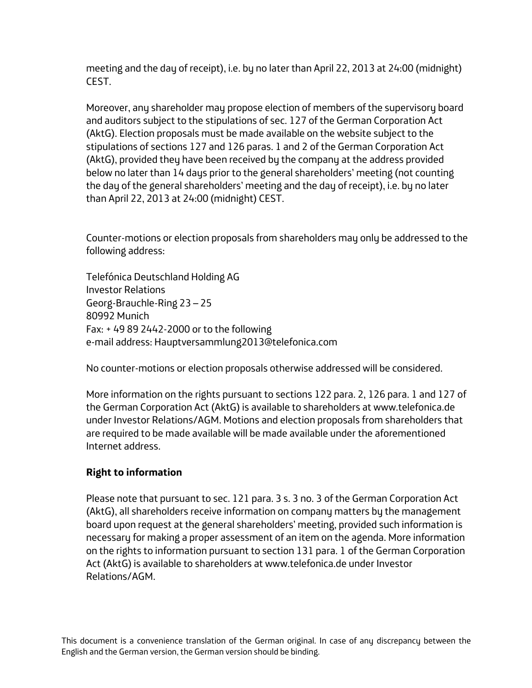meeting and the day of receipt), i.e. by no later than April 22, 2013 at 24:00 (midnight) CEST.

Moreover, any shareholder may propose election of members of the supervisory board and auditors subject to the stipulations of sec. 127 of the German Corporation Act (AktG). Election proposals must be made available on the website subject to the stipulations of sections 127 and 126 paras. 1 and 2 of the German Corporation Act (AktG), provided they have been received by the company at the address provided below no later than 14 days prior to the general shareholders' meeting (not counting the day of the general shareholders' meeting and the day of receipt), i.e. by no later than April 22, 2013 at 24:00 (midnight) CEST.

Counter-motions or election proposals from shareholders may only be addressed to the following address:

Telefónica Deutschland Holding AG Investor Relations Georg-Brauchle-Ring 23 – 25 80992 Munich Fax: + 49 89 2442-2000 or to the following e-mail address: Hauptversammlung2013@telefonica.com

No counter-motions or election proposals otherwise addressed will be considered.

More information on the rights pursuant to sections 122 para. 2, 126 para. 1 and 127 of the German Corporation Act (AktG) is available to shareholders at www.telefonica.de under Investor Relations/AGM. Motions and election proposals from shareholders that are required to be made available will be made available under the aforementioned Internet address.

# **Right to information**

Please note that pursuant to sec. 121 para. 3 s. 3 no. 3 of the German Corporation Act (AktG), all shareholders receive information on company matters by the management board upon request at the general shareholders' meeting, provided such information is necessary for making a proper assessment of an item on the agenda. More information on the rights to information pursuant to section 131 para. 1 of the German Corporation Act (AktG) is available to shareholders at www.telefonica.de under Investor Relations/AGM.